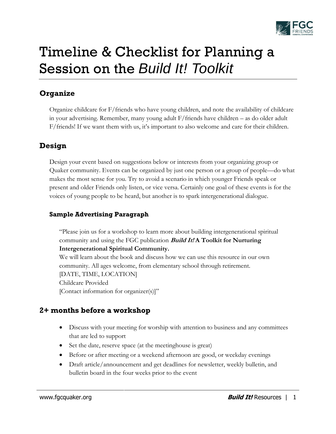

# Timeline & Checklist for Planning a Session on the *Build It! Toolkit*

# **Organize**

Organize childcare for F/friends who have young children, and note the availability of childcare in your advertising. Remember, many young adult F/friends have children – as do older adult F/friends! If we want them with us, it's important to also welcome and care for their children.

# **Design**

Design your event based on suggestions below or interests from your organizing group or Quaker community. Events can be organized by just one person or a group of people—do what makes the most sense for you. Try to avoid a scenario in which younger Friends speak or present and older Friends only listen, or vice versa. Certainly one goal of these events is for the voices of young people to be heard, but another is to spark intergenerational dialogue.

## **Sample Advertising Paragraph**

"Please join us for a workshop to learn more about building intergenerational spiritual community and using the FGC publication **Build It! A Toolkit for Nurturing Intergenerational Spiritual Community.** 

We will learn about the book and discuss how we can use this resource in our own community. All ages welcome, from elementary school through retirement. [DATE, TIME, LOCATION] Childcare Provided [Contact information for organizer(s)]"

# **2+ months before a workshop**

- Discuss with your meeting for worship with attention to business and any committees that are led to support
- Set the date, reserve space (at the meetinghouse is great)
- Before or after meeting or a weekend afternoon are good, or weekday evenings
- Draft article/announcement and get deadlines for newsletter, weekly bulletin, and bulletin board in the four weeks prior to the event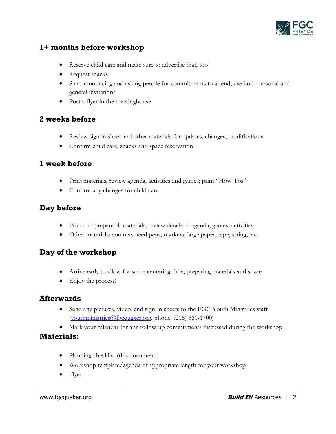

# **1+ months before workshop**

- Reserve child care and make sure to advertise that, too
- Request snacks
- Start announcing and asking people for commitments to attend; use both personal and general invitations
- Post a flyer in the meetinghouse

#### **2 weeks before**

- Review sign in sheet and other materials for updates, changes, modifications
- Confirm child care, snacks and space reservation

### **1 week before**

- Print materials, review agenda, activities and games; print "How-Tos"
- Confirm any changes for child care

## **Day before**

- Print and prepare all materials; review details of agenda, games, activities
- Other materials: you may need pens, markers, large paper, tape, string, etc.

## **Day of the workshop**

- Arrive early to allow for some centering time, preparing materials and space
- Enjoy the process!

#### **Afterwards**

- Send any pictures, video, and sign-in sheets to the FGC Youth Ministries staff [\(youthministries@fgcquaker.org,](mailto:youthministries@fgcquaker.org) phone: (215) 561-1700)
- Mark your calendar for any follow-up commitments discussed during the workshop

#### **Materials:**

- Planning checklist (this document!)
- Workshop template/agenda of appropriate length for your workshop
- Flyer